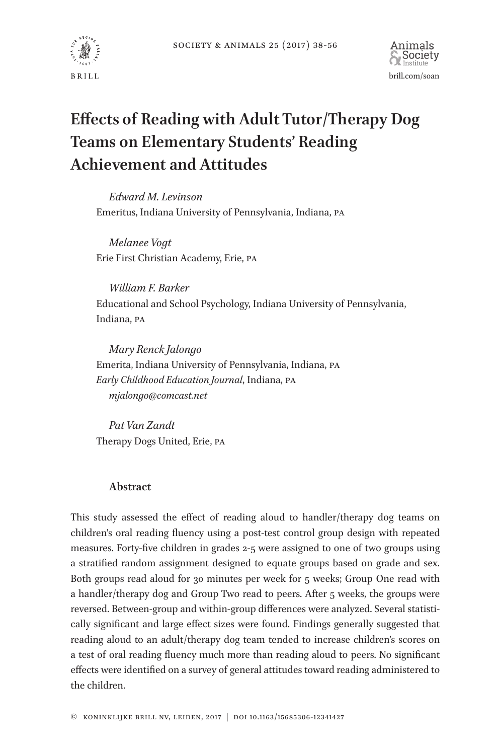



# **Effects of Reading with Adult Tutor/Therapy Dog Teams on Elementary Students' Reading Achievement and Attitudes**

*Edward M. Levinson* Emeritus, Indiana University of Pennsylvania, Indiana, PA

*Melanee Vogt* Erie First Christian Academy, Erie, PA

*William F. Barker* Educational and School Psychology, Indiana University of Pennsylvania, Indiana, PA

*Mary Renck Jalongo* Emerita, Indiana University of Pennsylvania, Indiana, PA *Early Childhood Education Journal*, Indiana, PA *mjalongo@comcast.net*

*Pat Van Zandt* Therapy Dogs United, Erie, PA

## **Abstract**

This study assessed the effect of reading aloud to handler/therapy dog teams on children's oral reading fluency using a post-test control group design with repeated measures. Forty-five children in grades 2-5 were assigned to one of two groups using a stratified random assignment designed to equate groups based on grade and sex. Both groups read aloud for 30 minutes per week for 5 weeks; Group One read with a handler/therapy dog and Group Two read to peers. After 5 weeks, the groups were reversed. Between-group and within-group differences were analyzed. Several statistically significant and large effect sizes were found. Findings generally suggested that reading aloud to an adult/therapy dog team tended to increase children's scores on a test of oral reading fluency much more than reading aloud to peers. No significant effects were identified on a survey of general attitudes toward reading administered to the children.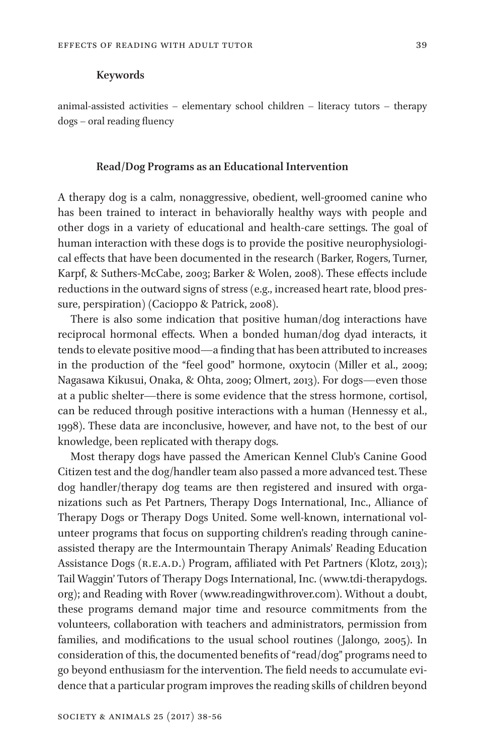#### **Keywords**

animal-assisted activities – elementary school children – literacy tutors – therapy dogs – oral reading fluency

## **Read/Dog Programs as an Educational Intervention**

A therapy dog is a calm, nonaggressive, obedient, well-groomed canine who has been trained to interact in behaviorally healthy ways with people and other dogs in a variety of educational and health-care settings. The goal of human interaction with these dogs is to provide the positive neurophysiological effects that have been documented in the research (Barker, Rogers, Turner, Karpf, & Suthers-McCabe, 2003; Barker & Wolen, 2008). These effects include reductions in the outward signs of stress (e.g., increased heart rate, blood pressure, perspiration) (Cacioppo & Patrick, 2008).

There is also some indication that positive human/dog interactions have reciprocal hormonal effects. When a bonded human/dog dyad interacts, it tends to elevate positive mood—a finding that has been attributed to increases in the production of the "feel good" hormone, oxytocin (Miller et al., 2009; Nagasawa Kikusui, Onaka, & Ohta, 2009; Olmert, 2013). For dogs—even those at a public shelter—there is some evidence that the stress hormone, cortisol, can be reduced through positive interactions with a human (Hennessy et al., 1998). These data are inconclusive, however, and have not, to the best of our knowledge, been replicated with therapy dogs.

Most therapy dogs have passed the American Kennel Club's Canine Good Citizen test and the dog/handler team also passed a more advanced test. These dog handler/therapy dog teams are then registered and insured with organizations such as Pet Partners, Therapy Dogs International, Inc., Alliance of Therapy Dogs or Therapy Dogs United. Some well-known, international volunteer programs that focus on supporting children's reading through canineassisted therapy are the Intermountain Therapy Animals' Reading Education Assistance Dogs (R.E.A.D.) Program, affiliated with Pet Partners (Klotz, 2013); Tail Waggin' Tutors of Therapy Dogs International, Inc. (www.tdi-therapydogs. org); and Reading with Rover (www.readingwithrover.com). Without a doubt, these programs demand major time and resource commitments from the volunteers, collaboration with teachers and administrators, permission from families, and modifications to the usual school routines (Jalongo, 2005). In consideration of this, the documented benefits of "read/dog" programs need to go beyond enthusiasm for the intervention. The field needs to accumulate evidence that a particular program improves the reading skills of children beyond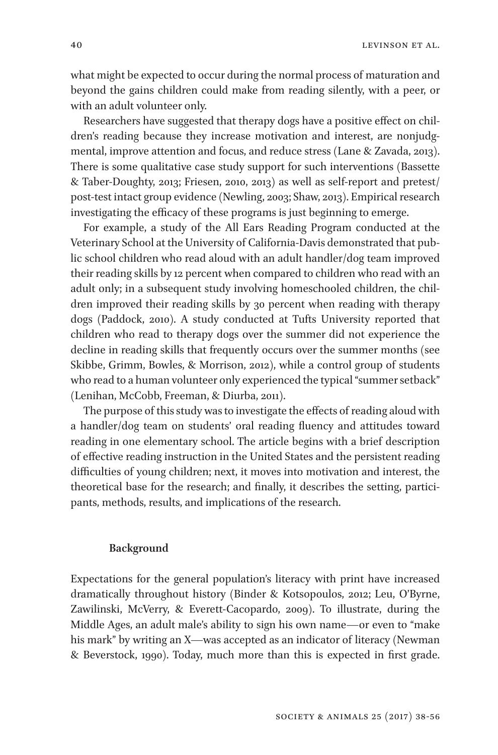what might be expected to occur during the normal process of maturation and beyond the gains children could make from reading silently, with a peer, or with an adult volunteer only.

Researchers have suggested that therapy dogs have a positive effect on children's reading because they increase motivation and interest, are nonjudgmental, improve attention and focus, and reduce stress (Lane & Zavada, 2013). There is some qualitative case study support for such interventions (Bassette & Taber-Doughty, 2013; Friesen, 2010, 2013) as well as self-report and pretest/ post-test intact group evidence (Newling, 2003; Shaw, 2013). Empirical research investigating the efficacy of these programs is just beginning to emerge.

For example, a study of the All Ears Reading Program conducted at the Veterinary School at the University of California-Davis demonstrated that public school children who read aloud with an adult handler/dog team improved their reading skills by 12 percent when compared to children who read with an adult only; in a subsequent study involving homeschooled children, the children improved their reading skills by 30 percent when reading with therapy dogs (Paddock, 2010). A study conducted at Tufts University reported that children who read to therapy dogs over the summer did not experience the decline in reading skills that frequently occurs over the summer months (see Skibbe, Grimm, Bowles, & Morrison, 2012), while a control group of students who read to a human volunteer only experienced the typical "summer setback" (Lenihan, McCobb, Freeman, & Diurba, 2011).

The purpose of this study was to investigate the effects of reading aloud with a handler/dog team on students' oral reading fluency and attitudes toward reading in one elementary school. The article begins with a brief description of effective reading instruction in the United States and the persistent reading difficulties of young children; next, it moves into motivation and interest, the theoretical base for the research; and finally, it describes the setting, participants, methods, results, and implications of the research.

#### **Background**

Expectations for the general population's literacy with print have increased dramatically throughout history (Binder & Kotsopoulos, 2012; Leu, O'Byrne, Zawilinski, McVerry, & Everett-Cacopardo, 2009). To illustrate, during the Middle Ages, an adult male's ability to sign his own name—or even to "make his mark" by writing an X—was accepted as an indicator of literacy (Newman & Beverstock, 1990). Today, much more than this is expected in first grade.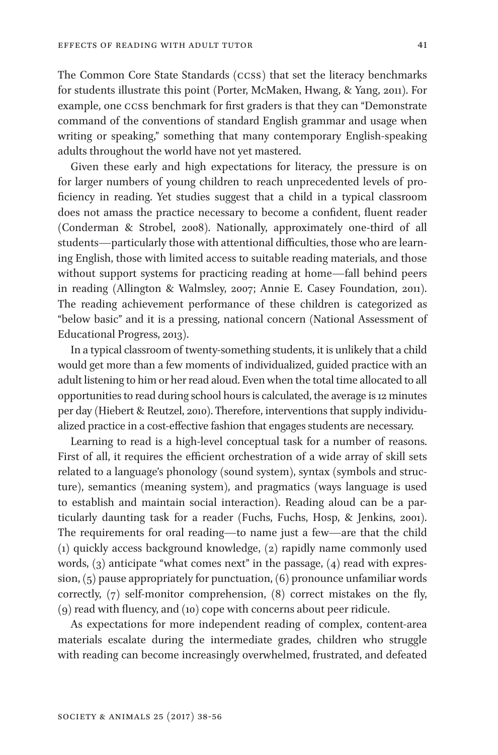The Common Core State Standards (CCSS) that set the literacy benchmarks for students illustrate this point (Porter, McMaken, Hwang, & Yang, 2011). For example, one CCSS benchmark for first graders is that they can "Demonstrate command of the conventions of standard English grammar and usage when writing or speaking," something that many contemporary English-speaking adults throughout the world have not yet mastered.

Given these early and high expectations for literacy, the pressure is on for larger numbers of young children to reach unprecedented levels of proficiency in reading. Yet studies suggest that a child in a typical classroom does not amass the practice necessary to become a confident, fluent reader (Conderman & Strobel, 2008). Nationally, approximately one-third of all students—particularly those with attentional difficulties, those who are learning English, those with limited access to suitable reading materials, and those without support systems for practicing reading at home—fall behind peers in reading (Allington & Walmsley, 2007; Annie E. Casey Foundation, 2011). The reading achievement performance of these children is categorized as "below basic" and it is a pressing, national concern (National Assessment of Educational Progress, 2013).

In a typical classroom of twenty-something students, it is unlikely that a child would get more than a few moments of individualized, guided practice with an adult listening to him or her read aloud. Even when the total time allocated to all opportunities to read during school hours is calculated, the average is 12 minutes per day (Hiebert & Reutzel, 2010). Therefore, interventions that supply individualized practice in a cost-effective fashion that engages students are necessary.

Learning to read is a high-level conceptual task for a number of reasons. First of all, it requires the efficient orchestration of a wide array of skill sets related to a language's phonology (sound system), syntax (symbols and structure), semantics (meaning system), and pragmatics (ways language is used to establish and maintain social interaction). Reading aloud can be a particularly daunting task for a reader (Fuchs, Fuchs, Hosp, & Jenkins, 2001). The requirements for oral reading—to name just a few—are that the child (1) quickly access background knowledge, (2) rapidly name commonly used words, (3) anticipate "what comes next" in the passage, (4) read with expression, (5) pause appropriately for punctuation, (6) pronounce unfamiliar words correctly, (7) self-monitor comprehension, (8) correct mistakes on the fly, (9) read with fluency, and (10) cope with concerns about peer ridicule.

As expectations for more independent reading of complex, content-area materials escalate during the intermediate grades, children who struggle with reading can become increasingly overwhelmed, frustrated, and defeated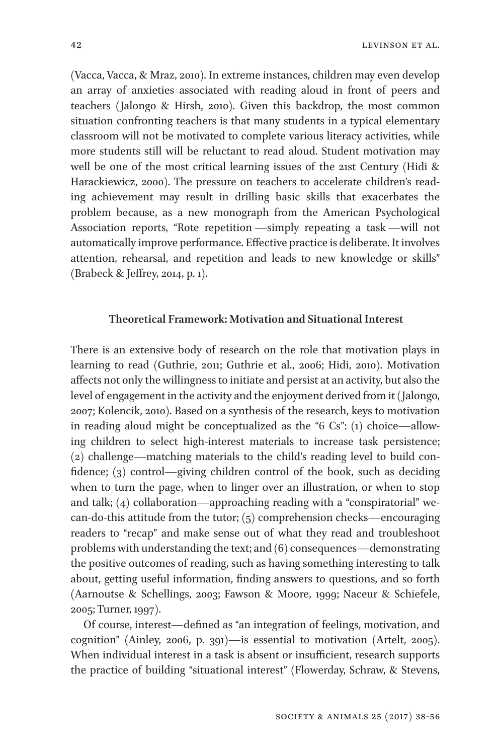(Vacca, Vacca, & Mraz, 2010). In extreme instances, children may even develop an array of anxieties associated with reading aloud in front of peers and teachers (Jalongo & Hirsh, 2010). Given this backdrop, the most common situation confronting teachers is that many students in a typical elementary classroom will not be motivated to complete various literacy activities, while more students still will be reluctant to read aloud. Student motivation may well be one of the most critical learning issues of the 21st Century (Hidi & Harackiewicz, 2000). The pressure on teachers to accelerate children's reading achievement may result in drilling basic skills that exacerbates the problem because, as a new monograph from the American Psychological Association reports, "Rote repetition —simply repeating a task —will not automatically improve performance. Effective practice is deliberate. It involves attention, rehearsal, and repetition and leads to new knowledge or skills" (Brabeck & Jeffrey, 2014, p. 1).

## **Theoretical Framework: Motivation and Situational Interest**

There is an extensive body of research on the role that motivation plays in learning to read (Guthrie, 2011; Guthrie et al., 2006; Hidi, 2010). Motivation affects not only the willingness to initiate and persist at an activity, but also the level of engagement in the activity and the enjoyment derived from it (Jalongo, 2007; Kolencik, 2010). Based on a synthesis of the research, keys to motivation in reading aloud might be conceptualized as the "6 Cs": (1) choice—allowing children to select high-interest materials to increase task persistence; (2) challenge—matching materials to the child's reading level to build confidence; (3) control—giving children control of the book, such as deciding when to turn the page, when to linger over an illustration, or when to stop and talk; (4) collaboration—approaching reading with a "conspiratorial" wecan-do-this attitude from the tutor; (5) comprehension checks—encouraging readers to "recap" and make sense out of what they read and troubleshoot problems with understanding the text; and (6) consequences—demonstrating the positive outcomes of reading, such as having something interesting to talk about, getting useful information, finding answers to questions, and so forth (Aarnoutse & Schellings, 2003; Fawson & Moore, 1999; Naceur & Schiefele, 2005; Turner, 1997).

Of course, interest—defined as "an integration of feelings, motivation, and cognition" (Ainley, 2006, p. 391)—is essential to motivation (Artelt, 2005). When individual interest in a task is absent or insufficient, research supports the practice of building "situational interest" (Flowerday, Schraw, & Stevens,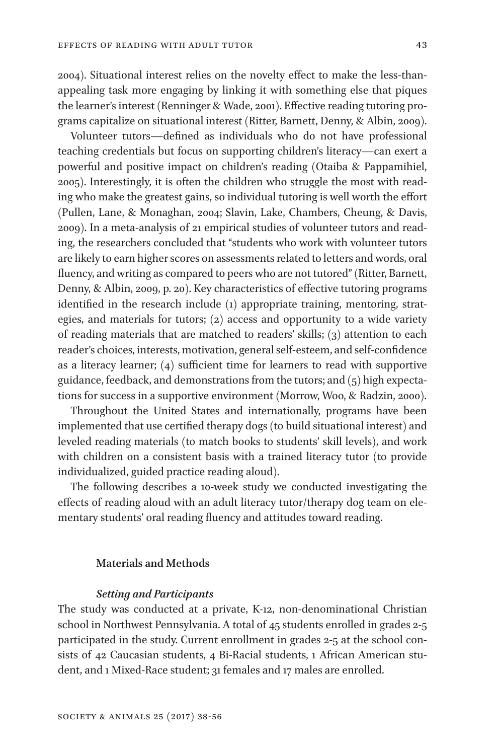2004). Situational interest relies on the novelty effect to make the less-thanappealing task more engaging by linking it with something else that piques the learner's interest (Renninger & Wade, 2001). Effective reading tutoring programs capitalize on situational interest (Ritter, Barnett, Denny, & Albin, 2009).

Volunteer tutors—defined as individuals who do not have professional teaching credentials but focus on supporting children's literacy—can exert a powerful and positive impact on children's reading (Otaiba & Pappamihiel, 2005). Interestingly, it is often the children who struggle the most with reading who make the greatest gains, so individual tutoring is well worth the effort (Pullen, Lane, & Monaghan, 2004; Slavin, Lake, Chambers, Cheung, & Davis, 2009). In a meta-analysis of 21 empirical studies of volunteer tutors and reading, the researchers concluded that "students who work with volunteer tutors are likely to earn higher scores on assessments related to letters and words, oral fluency, and writing as compared to peers who are not tutored" (Ritter, Barnett, Denny, & Albin, 2009, p. 20). Key characteristics of effective tutoring programs identified in the research include (1) appropriate training, mentoring, strategies, and materials for tutors; (2) access and opportunity to a wide variety of reading materials that are matched to readers' skills; (3) attention to each reader's choices, interests, motivation, general self-esteem, and self-confidence as a literacy learner; (4) sufficient time for learners to read with supportive guidance, feedback, and demonstrations from the tutors; and  $(5)$  high expectations for success in a supportive environment (Morrow, Woo, & Radzin, 2000).

Throughout the United States and internationally, programs have been implemented that use certified therapy dogs (to build situational interest) and leveled reading materials (to match books to students' skill levels), and work with children on a consistent basis with a trained literacy tutor (to provide individualized, guided practice reading aloud).

The following describes a 10-week study we conducted investigating the effects of reading aloud with an adult literacy tutor/therapy dog team on elementary students' oral reading fluency and attitudes toward reading.

## **Materials and Methods**

## *Setting and Participants*

The study was conducted at a private, K-12, non-denominational Christian school in Northwest Pennsylvania. A total of 45 students enrolled in grades 2-5 participated in the study. Current enrollment in grades 2-5 at the school consists of 42 Caucasian students, 4 Bi-Racial students, 1 African American student, and 1 Mixed-Race student; 31 females and 17 males are enrolled.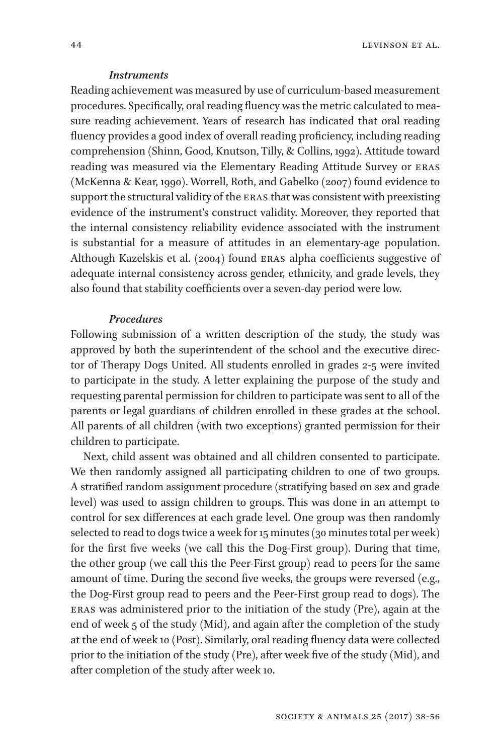#### *Instruments*

Reading achievement was measured by use of curriculum-based measurement procedures. Specifically, oral reading fluency was the metric calculated to measure reading achievement. Years of research has indicated that oral reading fluency provides a good index of overall reading proficiency, including reading comprehension (Shinn, Good, Knutson, Tilly, & Collins, 1992). Attitude toward reading was measured via the Elementary Reading Attitude Survey or ERAS (McKenna & Kear, 1990). Worrell, Roth, and Gabelko (2007) found evidence to support the structural validity of the ERAS that was consistent with preexisting evidence of the instrument's construct validity. Moreover, they reported that the internal consistency reliability evidence associated with the instrument is substantial for a measure of attitudes in an elementary-age population. Although Kazelskis et al. (2004) found ERAS alpha coefficients suggestive of adequate internal consistency across gender, ethnicity, and grade levels, they also found that stability coefficients over a seven-day period were low.

#### *Procedures*

Following submission of a written description of the study, the study was approved by both the superintendent of the school and the executive director of Therapy Dogs United. All students enrolled in grades 2-5 were invited to participate in the study. A letter explaining the purpose of the study and requesting parental permission for children to participate was sent to all of the parents or legal guardians of children enrolled in these grades at the school. All parents of all children (with two exceptions) granted permission for their children to participate.

Next, child assent was obtained and all children consented to participate. We then randomly assigned all participating children to one of two groups. A stratified random assignment procedure (stratifying based on sex and grade level) was used to assign children to groups. This was done in an attempt to control for sex differences at each grade level. One group was then randomly selected to read to dogs twice a week for 15 minutes (30 minutes total per week) for the first five weeks (we call this the Dog-First group). During that time, the other group (we call this the Peer-First group) read to peers for the same amount of time. During the second five weeks, the groups were reversed (e.g., the Dog-First group read to peers and the Peer-First group read to dogs). The ERAS was administered prior to the initiation of the study (Pre), again at the end of week 5 of the study (Mid), and again after the completion of the study at the end of week 10 (Post). Similarly, oral reading fluency data were collected prior to the initiation of the study (Pre), after week five of the study (Mid), and after completion of the study after week 10.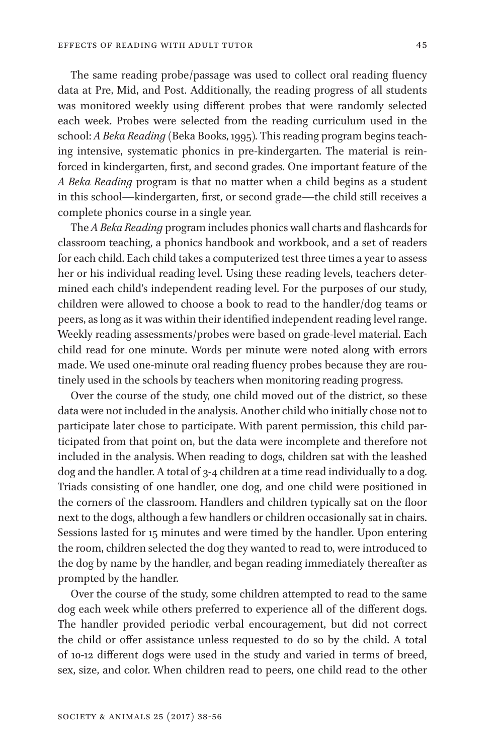The same reading probe/passage was used to collect oral reading fluency data at Pre, Mid, and Post. Additionally, the reading progress of all students was monitored weekly using different probes that were randomly selected each week. Probes were selected from the reading curriculum used in the school: *A Beka Reading* (Beka Books, 1995)*.* This reading program begins teaching intensive, systematic phonics in pre-kindergarten. The material is reinforced in kindergarten, first, and second grades. One important feature of the *A Beka Reading* program is that no matter when a child begins as a student in this school—kindergarten, first, or second grade—the child still receives a complete phonics course in a single year.

The *A Beka Reading* program includes phonics wall charts and flashcards for classroom teaching, a phonics handbook and workbook, and a set of readers for each child. Each child takes a computerized test three times a year to assess her or his individual reading level. Using these reading levels, teachers determined each child's independent reading level. For the purposes of our study, children were allowed to choose a book to read to the handler/dog teams or peers, as long as it was within their identified independent reading level range. Weekly reading assessments/probes were based on grade-level material. Each child read for one minute. Words per minute were noted along with errors made. We used one-minute oral reading fluency probes because they are routinely used in the schools by teachers when monitoring reading progress.

Over the course of the study, one child moved out of the district, so these data were not included in the analysis. Another child who initially chose not to participate later chose to participate. With parent permission, this child participated from that point on, but the data were incomplete and therefore not included in the analysis. When reading to dogs, children sat with the leashed dog and the handler. A total of 3-4 children at a time read individually to a dog. Triads consisting of one handler, one dog, and one child were positioned in the corners of the classroom. Handlers and children typically sat on the floor next to the dogs, although a few handlers or children occasionally sat in chairs. Sessions lasted for 15 minutes and were timed by the handler. Upon entering the room, children selected the dog they wanted to read to, were introduced to the dog by name by the handler, and began reading immediately thereafter as prompted by the handler.

Over the course of the study, some children attempted to read to the same dog each week while others preferred to experience all of the different dogs. The handler provided periodic verbal encouragement, but did not correct the child or offer assistance unless requested to do so by the child. A total of 10-12 different dogs were used in the study and varied in terms of breed, sex, size, and color. When children read to peers, one child read to the other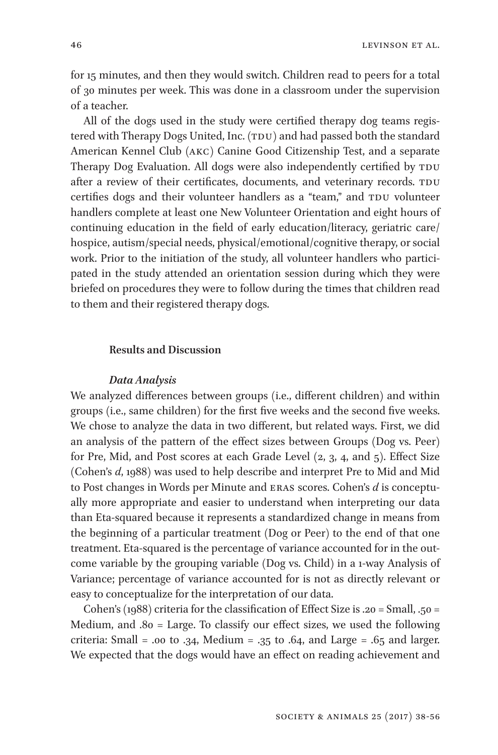for 15 minutes, and then they would switch. Children read to peers for a total of 30 minutes per week. This was done in a classroom under the supervision of a teacher.

All of the dogs used in the study were certified therapy dog teams registered with Therapy Dogs United, Inc. (TDU) and had passed both the standard American Kennel Club (AKC) Canine Good Citizenship Test, and a separate Therapy Dog Evaluation. All dogs were also independently certified by TDU after a review of their certificates, documents, and veterinary records. TDU certifies dogs and their volunteer handlers as a "team," and TDU volunteer handlers complete at least one New Volunteer Orientation and eight hours of continuing education in the field of early education/literacy, geriatric care/ hospice, autism/special needs, physical/emotional/cognitive therapy, or social work. Prior to the initiation of the study, all volunteer handlers who participated in the study attended an orientation session during which they were briefed on procedures they were to follow during the times that children read to them and their registered therapy dogs.

## **Results and Discussion**

#### *Data Analysis*

We analyzed differences between groups (i.e., different children) and within groups (i.e., same children) for the first five weeks and the second five weeks. We chose to analyze the data in two different, but related ways. First, we did an analysis of the pattern of the effect sizes between Groups (Dog vs. Peer) for Pre, Mid, and Post scores at each Grade Level (2, 3, 4, and 5). Effect Size (Cohen's *d*, 1988) was used to help describe and interpret Pre to Mid and Mid to Post changes in Words per Minute and ERAS scores. Cohen's *d* is conceptually more appropriate and easier to understand when interpreting our data than Eta-squared because it represents a standardized change in means from the beginning of a particular treatment (Dog or Peer) to the end of that one treatment. Eta-squared is the percentage of variance accounted for in the outcome variable by the grouping variable (Dog vs. Child) in a 1-way Analysis of Variance; percentage of variance accounted for is not as directly relevant or easy to conceptualize for the interpretation of our data.

Cohen's (1988) criteria for the classification of Effect Size is .20 = Small, .50 = Medium, and .80 = Large. To classify our effect sizes, we used the following criteria: Small = .00 to .34, Medium = .35 to .64, and Large = .65 and larger. We expected that the dogs would have an effect on reading achievement and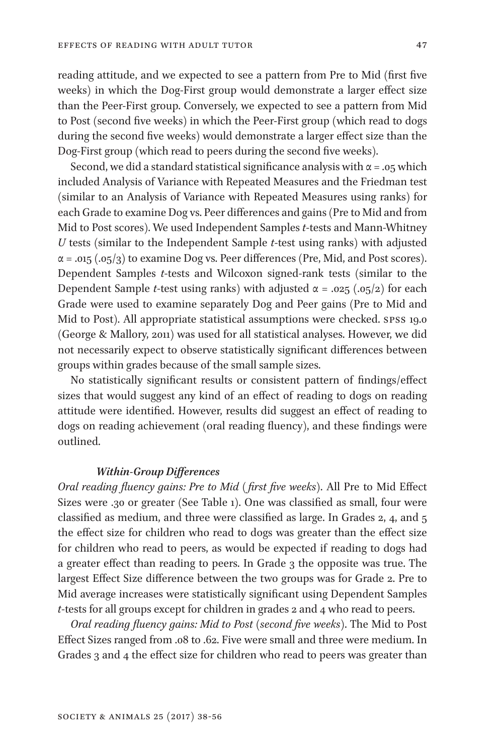reading attitude, and we expected to see a pattern from Pre to Mid (first five weeks) in which the Dog-First group would demonstrate a larger effect size than the Peer-First group. Conversely, we expected to see a pattern from Mid to Post (second five weeks) in which the Peer-First group (which read to dogs during the second five weeks) would demonstrate a larger effect size than the Dog-First group (which read to peers during the second five weeks).

Second, we did a standard statistical significance analysis with  $\alpha$  = .05 which included Analysis of Variance with Repeated Measures and the Friedman test (similar to an Analysis of Variance with Repeated Measures using ranks) for each Grade to examine Dog vs. Peer differences and gains (Pre to Mid and from Mid to Post scores). We used Independent Samples *t*-tests and Mann-Whitney *U* tests (similar to the Independent Sample *t*-test using ranks) with adjusted  $\alpha$  = .015 (.05/3) to examine Dog vs. Peer differences (Pre, Mid, and Post scores). Dependent Samples *t*-tests and Wilcoxon signed-rank tests (similar to the Dependent Sample *t*-test using ranks) with adjusted  $\alpha = .025$  (.05/2) for each Grade were used to examine separately Dog and Peer gains (Pre to Mid and Mid to Post). All appropriate statistical assumptions were checked. SPSS 19.0 (George & Mallory, 2011) was used for all statistical analyses. However, we did not necessarily expect to observe statistically significant differences between groups within grades because of the small sample sizes.

No statistically significant results or consistent pattern of findings/effect sizes that would suggest any kind of an effect of reading to dogs on reading attitude were identified. However, results did suggest an effect of reading to dogs on reading achievement (oral reading fluency), and these findings were outlined.

## *Within-Group Differences*

*Oral reading fluency gains: Pre to Mid ( first five weeks)*. All Pre to Mid Effect Sizes were .30 or greater (See Table 1). One was classified as small, four were classified as medium, and three were classified as large. In Grades 2, 4, and 5 the effect size for children who read to dogs was greater than the effect size for children who read to peers, as would be expected if reading to dogs had a greater effect than reading to peers. In Grade 3 the opposite was true. The largest Effect Size difference between the two groups was for Grade 2. Pre to Mid average increases were statistically significant using Dependent Samples *t*-tests for all groups except for children in grades 2 and 4 who read to peers.

*Oral reading fluency gains: Mid to Post (second five weeks)*. The Mid to Post Effect Sizes ranged from .08 to .62. Five were small and three were medium. In Grades 3 and 4 the effect size for children who read to peers was greater than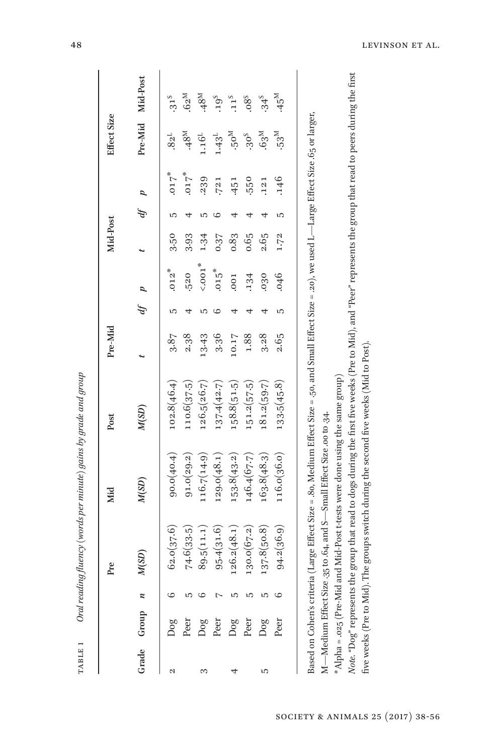| Grade Group |   |              |             |             | Pre-Mid |           |         | Mid-Post |   |         | Effect Size      |                   |
|-------------|---|--------------|-------------|-------------|---------|-----------|---------|----------|---|---------|------------------|-------------------|
|             |   | M(SD)        | M(SD)       | M(SD)       |         | $\hat{p}$ | p       |          | Ą |         | Pre-Mid          | Mid-Post          |
| Dog<br>N    |   | 62.0(37.6)   | 90.0(40.4)  | 102.8(46.4) | 3.87    | S         | $.012*$ | 3.50     | S | 50.00   | 82 <sup>L</sup>  | $.31^{5}$         |
| Peer        |   | 74.6(33.5)   | 91.0(29.2)  | 110.6(37.5) | 2.38    |           | .520    | 3.93     |   | $.017*$ | $^{48}$          | $62^M$            |
| Dog<br>S    |   | 89.5(11.1)   | 116.7(14.9) | 126.5(26.7) | 13.43   |           | 1001    | 1.34     |   | .239    | $1.16^{L}$       | $^{148}$          |
| Peer        |   | 95.4(31.6)   | 129.0(48.1) | 137.4(42.7) | 3.36    |           | $.015*$ | 0.37     |   | .721    | $1.43^L$         | .19 <sup>S</sup>  |
| Dog         |   | 126.2(48.1)  | 153.8(43.2) | 58.8(51.5)  | 10.17   |           | .001    | 0.83     |   | .451    | $^{M}$ 05.       | 11 <sup>5</sup>   |
| Peer        |   | 130.0 (67.2) | 146.4(67.7) | 151.2(57.5) | 1.88    |           | .134    | 0.65     |   | .550    | .30 <sup>S</sup> | .08 <sub>o</sub>  |
| Dog<br>S    | ທ | 137.8(50.8)  | 163.8(48.3) | 181.2(59.7) | 3.28    |           | 030     | 2.65     |   | .121    | .63 <sup>M</sup> | $34^{5}$          |
| Peer        |   | 94.2(36.9)   | 116.0(36.0) | 133.5(45.8) | 2.65    |           | 046     | 1.72     |   | .146    | 53 <sup>M</sup>  | $M$ <sup>45</sup> |

48 LEVINSON ET AL.

five weeks (Pre to Mid). The groups switch during the second five weeks (Mid to Post).

five weeks (Pre to Mid). The groups switch during the second five weeks (Mid to Post).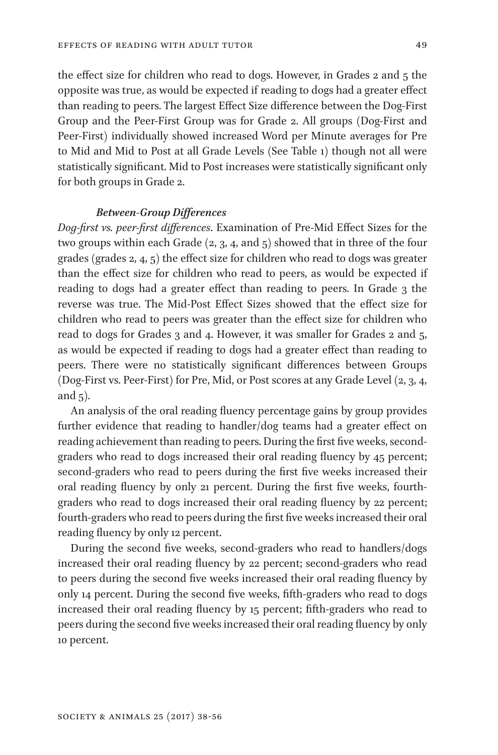the effect size for children who read to dogs. However, in Grades 2 and 5 the opposite was true, as would be expected if reading to dogs had a greater effect than reading to peers. The largest Effect Size difference between the Dog-First Group and the Peer-First Group was for Grade 2. All groups (Dog-First and Peer-First) individually showed increased Word per Minute averages for Pre to Mid and Mid to Post at all Grade Levels (See Table 1) though not all were statistically significant. Mid to Post increases were statistically significant only for both groups in Grade 2.

## *Between-Group Differences*

*Dog-first vs. peer-first differences*. Examination of Pre-Mid Effect Sizes for the two groups within each Grade (2, 3, 4, and 5) showed that in three of the four grades (grades 2, 4, 5) the effect size for children who read to dogs was greater than the effect size for children who read to peers, as would be expected if reading to dogs had a greater effect than reading to peers. In Grade 3 the reverse was true. The Mid-Post Effect Sizes showed that the effect size for children who read to peers was greater than the effect size for children who read to dogs for Grades 3 and 4. However, it was smaller for Grades 2 and 5, as would be expected if reading to dogs had a greater effect than reading to peers. There were no statistically significant differences between Groups (Dog-First vs. Peer-First) for Pre, Mid, or Post scores at any Grade Level (2, 3, 4, and 5).

An analysis of the oral reading fluency percentage gains by group provides further evidence that reading to handler/dog teams had a greater effect on reading achievement than reading to peers. During the first five weeks, secondgraders who read to dogs increased their oral reading fluency by 45 percent; second-graders who read to peers during the first five weeks increased their oral reading fluency by only 21 percent. During the first five weeks, fourthgraders who read to dogs increased their oral reading fluency by 22 percent; fourth-graders who read to peers during the first five weeks increased their oral reading fluency by only 12 percent.

During the second five weeks, second-graders who read to handlers/dogs increased their oral reading fluency by 22 percent; second-graders who read to peers during the second five weeks increased their oral reading fluency by only 14 percent. During the second five weeks, fifth-graders who read to dogs increased their oral reading fluency by 15 percent; fifth-graders who read to peers during the second five weeks increased their oral reading fluency by only 10 percent.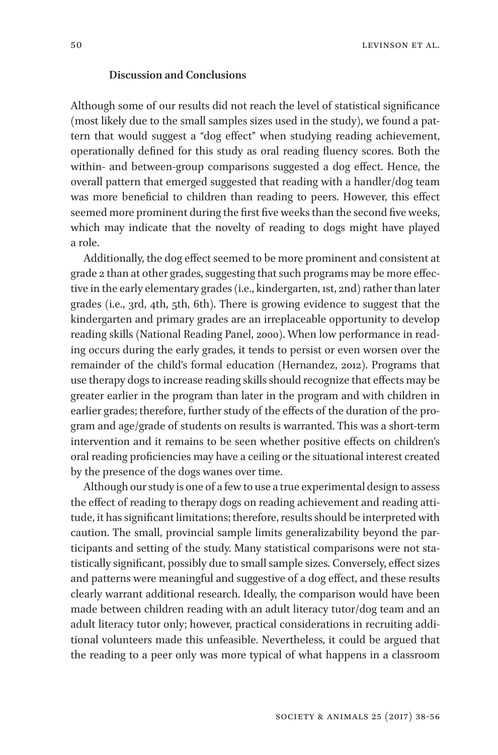## **Discussion and Conclusions**

Although some of our results did not reach the level of statistical significance (most likely due to the small samples sizes used in the study), we found a pattern that would suggest a "dog effect" when studying reading achievement, operationally defined for this study as oral reading fluency scores. Both the within- and between-group comparisons suggested a dog effect. Hence, the overall pattern that emerged suggested that reading with a handler/dog team was more beneficial to children than reading to peers. However, this effect seemed more prominent during the first five weeks than the second five weeks, which may indicate that the novelty of reading to dogs might have played a role.

Additionally, the dog effect seemed to be more prominent and consistent at grade 2 than at other grades, suggesting that such programs may be more effective in the early elementary grades (i.e., kindergarten, 1st, 2nd) rather than later grades (i.e., 3rd, 4th, 5th, 6th). There is growing evidence to suggest that the kindergarten and primary grades are an irreplaceable opportunity to develop reading skills (National Reading Panel, 2000). When low performance in reading occurs during the early grades, it tends to persist or even worsen over the remainder of the child's formal education (Hernandez, 2012). Programs that use therapy dogs to increase reading skills should recognize that effects may be greater earlier in the program than later in the program and with children in earlier grades; therefore, further study of the effects of the duration of the program and age/grade of students on results is warranted. This was a short-term intervention and it remains to be seen whether positive effects on children's oral reading proficiencies may have a ceiling or the situational interest created by the presence of the dogs wanes over time.

Although our study is one of a few to use a true experimental design to assess the effect of reading to therapy dogs on reading achievement and reading attitude, it has significant limitations; therefore, results should be interpreted with caution. The small, provincial sample limits generalizability beyond the participants and setting of the study. Many statistical comparisons were not statistically significant, possibly due to small sample sizes. Conversely, effect sizes and patterns were meaningful and suggestive of a dog effect, and these results clearly warrant additional research. Ideally, the comparison would have been made between children reading with an adult literacy tutor/dog team and an adult literacy tutor only; however, practical considerations in recruiting additional volunteers made this unfeasible. Nevertheless, it could be argued that the reading to a peer only was more typical of what happens in a classroom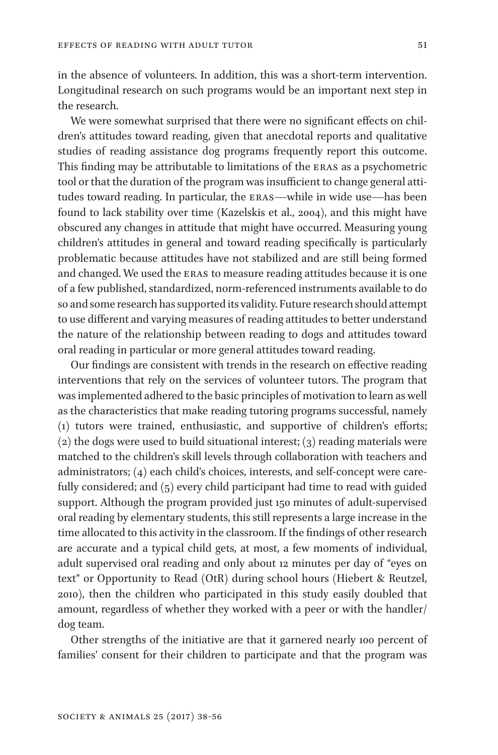in the absence of volunteers. In addition, this was a short-term intervention. Longitudinal research on such programs would be an important next step in the research.

We were somewhat surprised that there were no significant effects on children's attitudes toward reading, given that anecdotal reports and qualitative studies of reading assistance dog programs frequently report this outcome. This finding may be attributable to limitations of the ERAS as a psychometric tool or that the duration of the program was insufficient to change general attitudes toward reading. In particular, the ERAS—while in wide use—has been found to lack stability over time (Kazelskis et al., 2004), and this might have obscured any changes in attitude that might have occurred. Measuring young children's attitudes in general and toward reading specifically is particularly problematic because attitudes have not stabilized and are still being formed and changed. We used the ERAS to measure reading attitudes because it is one of a few published, standardized, norm-referenced instruments available to do so and some research has supported its validity. Future research should attempt to use different and varying measures of reading attitudes to better understand the nature of the relationship between reading to dogs and attitudes toward oral reading in particular or more general attitudes toward reading.

Our findings are consistent with trends in the research on effective reading interventions that rely on the services of volunteer tutors. The program that was implemented adhered to the basic principles of motivation to learn as well as the characteristics that make reading tutoring programs successful, namely (1) tutors were trained, enthusiastic, and supportive of children's efforts;  $(2)$  the dogs were used to build situational interest;  $(3)$  reading materials were matched to the children's skill levels through collaboration with teachers and administrators; (4) each child's choices, interests, and self-concept were carefully considered; and (5) every child participant had time to read with guided support. Although the program provided just 150 minutes of adult-supervised oral reading by elementary students, this still represents a large increase in the time allocated to this activity in the classroom. If the findings of other research are accurate and a typical child gets, at most, a few moments of individual, adult supervised oral reading and only about 12 minutes per day of "eyes on text" or Opportunity to Read (OtR) during school hours (Hiebert & Reutzel, 2010), then the children who participated in this study easily doubled that amount, regardless of whether they worked with a peer or with the handler/ dog team.

Other strengths of the initiative are that it garnered nearly 100 percent of families' consent for their children to participate and that the program was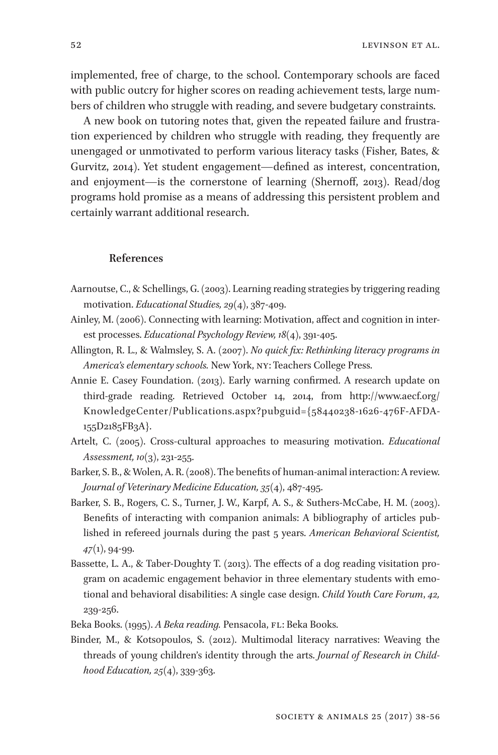implemented, free of charge, to the school. Contemporary schools are faced with public outcry for higher scores on reading achievement tests, large numbers of children who struggle with reading, and severe budgetary constraints.

A new book on tutoring notes that, given the repeated failure and frustration experienced by children who struggle with reading, they frequently are unengaged or unmotivated to perform various literacy tasks (Fisher, Bates, & Gurvitz, 2014). Yet student engagement—defined as interest, concentration, and enjoyment—is the cornerstone of learning (Shernoff, 2013). Read/dog programs hold promise as a means of addressing this persistent problem and certainly warrant additional research.

## **References**

- Aarnoutse, C., & Schellings, G. (2003). Learning reading strategies by triggering reading motivation. *Educational Studies, 29*(4), 387-409.
- Ainley, M. (2006). Connecting with learning: Motivation, affect and cognition in interest processes. *Educational Psychology Review, 18*(4), 391-405.
- Allington, R. L., & Walmsley, S. A. (2007). *No quick fix: Rethinking literacy programs in America's elementary schools.* New York, NY: Teachers College Press.
- Annie E. Casey Foundation. (2013). Early warning confirmed. A research update on third-grade reading. Retrieved October 14, 2014, from http://www.aecf.org/ KnowledgeCenter/Publications.aspx?pubguid={58440238-1626-476F-AFDA-155D2185FB3A}.
- Artelt, C. (2005). Cross-cultural approaches to measuring motivation. *Educational Assessment, 10*(3), 231-255.
- Barker, S. B., & Wolen, A. R. (2008). The benefits of human-animal interaction: A review. *Journal of Veterinary Medicine Education, 35*(4), 487-495.
- Barker, S. B., Rogers, C. S., Turner, J. W., Karpf, A. S., & Suthers-McCabe, H. M. (2003). Benefits of interacting with companion animals: A bibliography of articles published in refereed journals during the past 5 years. *American Behavioral Scientist, 47*(1), 94-99.
- Bassette, L. A., & Taber-Doughty T. (2013). The effects of a dog reading visitation program on academic engagement behavior in three elementary students with emotional and behavioral disabilities: A single case design. *Child Youth Care Forum*, *42,*  239-256.
- Beka Books. (1995). *A Beka reading.* Pensacola, FL: Beka Books.
- Binder, M., & Kotsopoulos, S. (2012). Multimodal literacy narratives: Weaving the threads of young children's identity through the arts. *Journal of Research in Childhood Education, 25*(4), 339-363.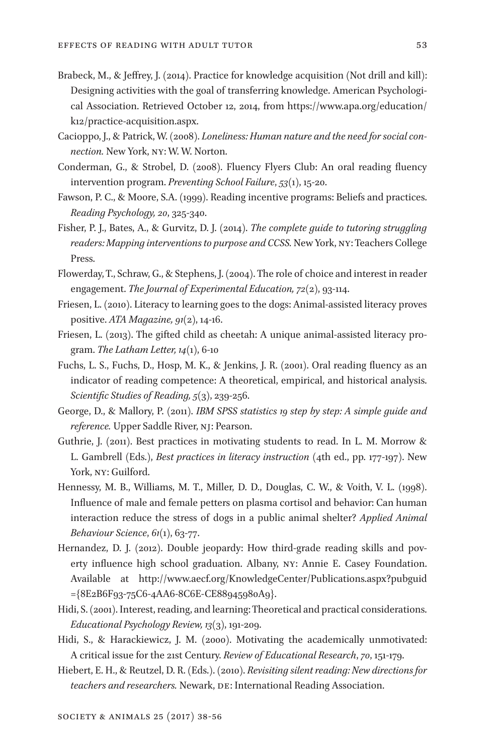- Brabeck, M., & Jeffrey, J. (2014). Practice for knowledge acquisition (Not drill and kill): Designing activities with the goal of transferring knowledge. American Psychological Association. Retrieved October 12, 2014, from https://www.apa.org/education/ k12/practice-acquisition.aspx.
- Cacioppo, J., & Patrick, W. (2008). *Loneliness: Human nature and the need for social connection.* New York, NY: W. W. Norton.
- Conderman, G., & Strobel, D. (2008). Fluency Flyers Club: An oral reading fluency intervention program. *Preventing School Failure*, *53*(1), 15-20.
- Fawson, P. C., & Moore, S.A. (1999). Reading incentive programs: Beliefs and practices. *Reading Psychology, 20*, 325-340.
- Fisher, P. J., Bates, A., & Gurvitz, D. J. (2014). *The complete guide to tutoring struggling readers: Mapping interventions to purpose and CCSS.* New York, NY: Teachers College Press.
- Flowerday, T., Schraw, G., & Stephens, J. (2004). The role of choice and interest in reader engagement. *The Journal of Experimental Education, 72*(2), 93-114.
- Friesen, L. (2010). Literacy to learning goes to the dogs: Animal-assisted literacy proves positive. *ATA Magazine, 91*(2), 14-16.
- Friesen, L. (2013). The gifted child as cheetah: A unique animal-assisted literacy program. *The Latham Letter, 14*(1), 6-10
- Fuchs, L. S., Fuchs, D., Hosp, M. K., & Jenkins, J. R. (2001). Oral reading fluency as an indicator of reading competence: A theoretical, empirical, and historical analysis. *Scientific Studies of Reading, 5*(3), 239-256.
- George, D., & Mallory, P. (2011). *IBM SPSS statistics 19 step by step: A simple guide and reference.* Upper Saddle River, NJ: Pearson.
- Guthrie, J. (2011). Best practices in motivating students to read. In L. M. Morrow & L. Gambrell (Eds.), *Best practices in literacy instruction* (4th ed., pp. 177-197). New York, NY: Guilford.
- Hennessy, M. B., Williams, M. T., Miller, D. D., Douglas, C. W., & Voith, V. L. (1998). Influence of male and female petters on plasma cortisol and behavior: Can human interaction reduce the stress of dogs in a public animal shelter? *Applied Animal Behaviour Science*, *61*(1), 63-77.
- Hernandez, D. J. (2012). Double jeopardy: How third-grade reading skills and poverty influence high school graduation. Albany, NY: Annie E. Casey Foundation. Available at http://www.aecf.org/KnowledgeCenter/Publications.aspx?pubguid ={8E2B6F93-75C6-4AA6-8C6E-CE88945980A9}.
- Hidi, S. (2001). Interest, reading, and learning: Theoretical and practical considerations. *Educational Psychology Review, 13*(3), 191-209.
- Hidi, S., & Harackiewicz, J. M. (2000). Motivating the academically unmotivated: A critical issue for the 21st Century. *Review of Educational Research*, *70*, 151-179.
- Hiebert, E. H., & Reutzel, D. R. (Eds.). (2010). *Revisiting silent reading: New directions for teachers and researchers.* Newark, DE: International Reading Association.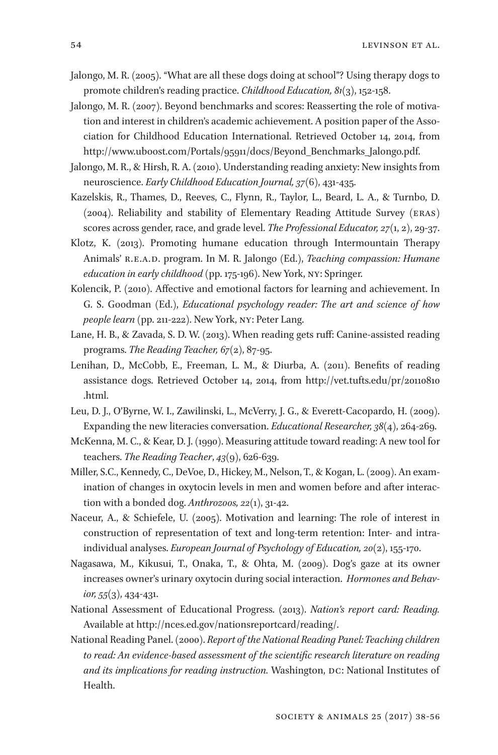- Jalongo, M. R. (2005). "What are all these dogs doing at school"? Using therapy dogs to promote children's reading practice. *Childhood Education, 81*(3), 152-158.
- Jalongo, M. R. (2007). Beyond benchmarks and scores: Reasserting the role of motivation and interest in children's academic achievement. A position paper of the Association for Childhood Education International. Retrieved October 14, 2014, from http://www.uboost.com/Portals/95911/docs/Beyond\_Benchmarks\_Jalongo.pdf.
- Jalongo, M. R., & Hirsh, R. A. (2010). Understanding reading anxiety: New insights from neuroscience. *Early Childhood Education Journal, 37*(6), 431-435.
- Kazelskis, R., Thames, D., Reeves, C., Flynn, R., Taylor, L., Beard, L. A., & Turnbo, D. (2004). Reliability and stability of Elementary Reading Attitude Survey (ERAS) scores across gender, race, and grade level. *The Professional Educator, 27*(1, 2), 29-37.
- Klotz, K. (2013). Promoting humane education through Intermountain Therapy Animals' R.E.A.D. program. In M. R. Jalongo (Ed.), *Teaching compassion: Humane education in early childhood* (pp. 175-196). New York, NY: Springer.
- Kolencik, P. (2010). Affective and emotional factors for learning and achievement. In G. S. Goodman (Ed.), *Educational psychology reader: The art and science of how people learn* (pp. 211-222). New York, NY: Peter Lang.
- Lane, H. B., & Zavada, S. D. W. (2013). When reading gets ruff: Canine-assisted reading programs. *The Reading Teacher, 67*(2), 87-95.
- Lenihan, D., McCobb, E., Freeman, L. M., & Diurba, A. (2011). Benefits of reading assistance dogs. Retrieved October 14, 2014, from http://vet.tufts.edu/pr/20110810 .html.
- Leu, D. J., O'Byrne, W. I., Zawilinski, L., McVerry, J. G., & Everett-Cacopardo, H. (2009). Expanding the new literacies conversation. *Educational Researcher, 38*(4), 264-269.
- McKenna, M. C., & Kear, D. J. (1990). Measuring attitude toward reading: A new tool for teachers. *The Reading Teacher*, *43*(9), 626-639.
- Miller, S.C., Kennedy, C., DeVoe, D., Hickey, M., Nelson, T., & Kogan, L. (2009). An examination of changes in oxytocin levels in men and women before and after interaction with a bonded dog. *Anthrozoos, 22*(1), 31-42.
- Naceur, A., & Schiefele, U. (2005). Motivation and learning: The role of interest in construction of representation of text and long-term retention: Inter- and intraindividual analyses. *European Journal of Psychology of Education, 20*(2), 155-170.
- Nagasawa, M., Kikusui, T., Onaka, T., & Ohta, M. (2009). Dog's gaze at its owner increases owner's urinary oxytocin during social interaction.  *Hormones and Behavior, 55*(3), 434-431.
- National Assessment of Educational Progress. (2013). *Nation's report card: Reading.*  Available at http://nces.ed.gov/nationsreportcard/reading/.
- National Reading Panel. (2000). *Report of the National Reading Panel: Teaching children to read: An evidence-based assessment of the scientific research literature on reading and its implications for reading instruction.* Washington, DC: National Institutes of Health.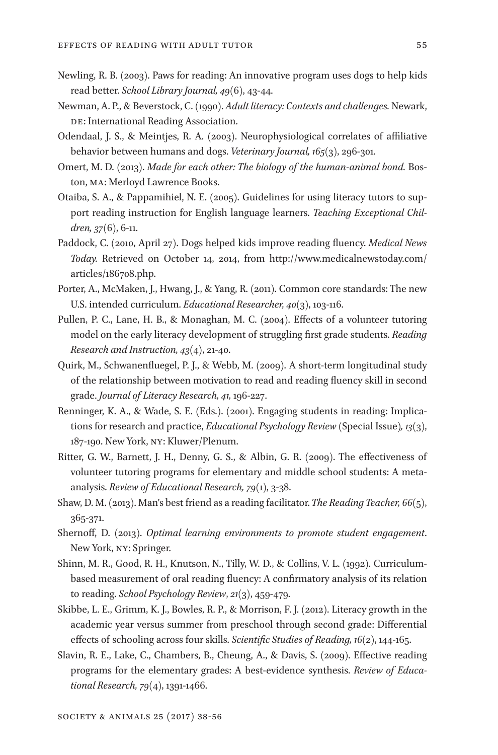- Newling, R. B. (2003). Paws for reading: An innovative program uses dogs to help kids read better. *School Library Journal, 49*(6), 43-44.
- Newman, A. P., & Beverstock, C. (1990). *Adult literacy: Contexts and challenges.* Newark, DE: International Reading Association.
- Odendaal, J. S., & Meintjes, R. A. (2003). Neurophysiological correlates of affiliative behavior between humans and dogs. *Veterinary Journal, 165*(3), 296-301.
- Omert, M. D. (2013). *Made for each other: The biology of the human-animal bond.* Boston, MA: Merloyd Lawrence Books.
- Otaiba, S. A., & Pappamihiel, N. E. (2005). Guidelines for using literacy tutors to support reading instruction for English language learners. *Teaching Exceptional Children, 37*(6), 6-11.
- Paddock, C. (2010, April 27). Dogs helped kids improve reading fluency. *Medical News Today.* Retrieved on October 14, 2014, from http://www.medicalnewstoday.com/ articles/186708.php.
- Porter, A., McMaken, J., Hwang, J., & Yang, R. (2011). Common core standards: The new U.S. intended curriculum. *Educational Researcher, 40*(3), 103-116.
- Pullen, P. C., Lane, H. B., & Monaghan, M. C. (2004). Effects of a volunteer tutoring model on the early literacy development of struggling first grade students. *Reading Research and Instruction, 43*(4), 21-40.
- Quirk, M., Schwanenfluegel, P. J., & Webb, M. (2009). A short-term longitudinal study of the relationship between motivation to read and reading fluency skill in second grade. *Journal of Literacy Research, 41,* 196-227.
- Renninger, K. A., & Wade, S. E. (Eds.). (2001). Engaging students in reading: Implications for research and practice, *Educational Psychology Review* (Special Issue)*, 13*(3), 187-190. New York, NY: Kluwer/Plenum.
- Ritter, G. W., Barnett, J. H., Denny, G. S., & Albin, G. R. (2009). The effectiveness of volunteer tutoring programs for elementary and middle school students: A metaanalysis. *Review of Educational Research, 79*(1), 3-38.
- Shaw, D. M. (2013). Man's best friend as a reading facilitator. *The Reading Teacher, 66*(5), 365-371.
- Shernoff, D. (2013). *Optimal learning environments to promote student engagement*. New York, NY: Springer.
- Shinn, M. R., Good, R. H., Knutson, N., Tilly, W. D., & Collins, V. L. (1992). Curriculumbased measurement of oral reading fluency: A confirmatory analysis of its relation to reading. *School Psychology Review*, *21*(3), 459-479.
- Skibbe, L. E., Grimm, K. J., Bowles, R. P., & Morrison, F. J. (2012). Literacy growth in the academic year versus summer from preschool through second grade: Differential effects of schooling across four skills. *Scientific Studies of Reading, 16*(2), 144-165.
- Slavin, R. E., Lake, C., Chambers, B., Cheung, A., & Davis, S. (2009). Effective reading programs for the elementary grades: A best-evidence synthesis. *Review of Educational Research, 79*(4), 1391-1466.